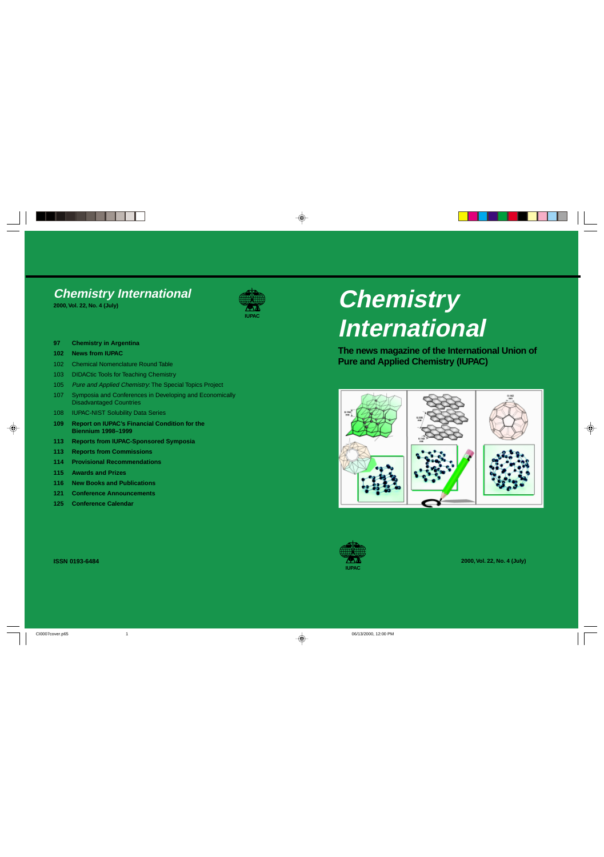# **Chemistry International 2000, Vol. 22, No. 4 (July)**

**97 Chemistry in Argentina**

## **102 News from IUPAC**

- 102 Chemical Nomenclature Round Table
- 103 DIDACtic Tools for Teaching Chemistry
- 105 Pure and Applied Chemistry: The Special Topics Project
- 107 Symposia and Conferences in Developing and Economically Disadvantaged Countries
- 108 **IUPAC-NIST Solubility Data Series**
- **109 Report on IUPAC's Financial Condition for the Biennium 1998–1999**
- **113 Reports from IUPAC-Sponsored Symposia**
- **113 Reports from Commissions**
- **114 Provisional Recommendations**
- **115 Awards and Prizes**
- **116 New Books and Publications**
- **121 Conference Announcements**
- **125 Conference Calendar**

## **ISSN 0193-6484**

 $\bigcirc$ 

# **Chemistry International**

**The news magazine of the International Union of Pure and Applied Chemistry (IUPAC)**



**2000, Vol. 22, No. 4 (July)**

 $\clubsuit$ 





 $\color{red}\blacklozenge$